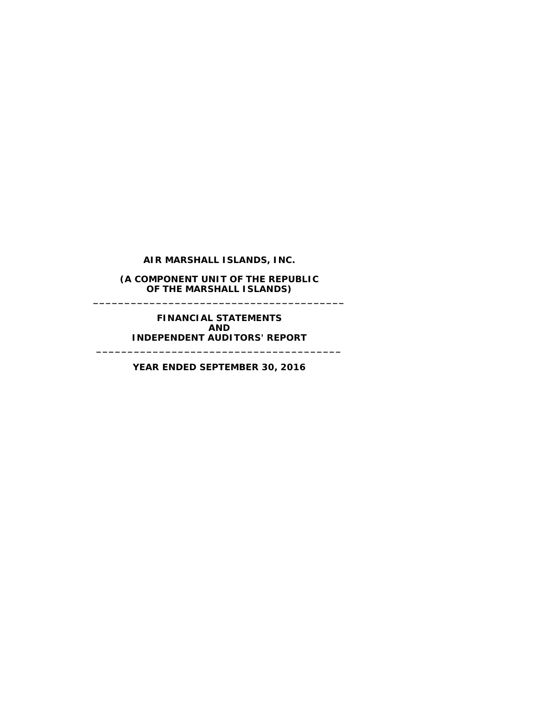**AIR MARSHALL ISLANDS, INC.**

**(A COMPONENT UNIT OF THE REPUBLIC OF THE MARSHALL ISLANDS) \_\_\_\_\_\_\_\_\_\_\_\_\_\_\_\_\_\_\_\_\_\_\_\_\_\_\_\_\_\_\_\_\_\_\_\_\_\_\_\_**

> **FINANCIAL STATEMENTS AND INDEPENDENT AUDITORS' REPORT**

> **YEAR ENDED SEPTEMBER 30, 2016**

**\_\_\_\_\_\_\_\_\_\_\_\_\_\_\_\_\_\_\_\_\_\_\_\_\_\_\_\_\_\_\_\_\_\_\_\_\_\_\_**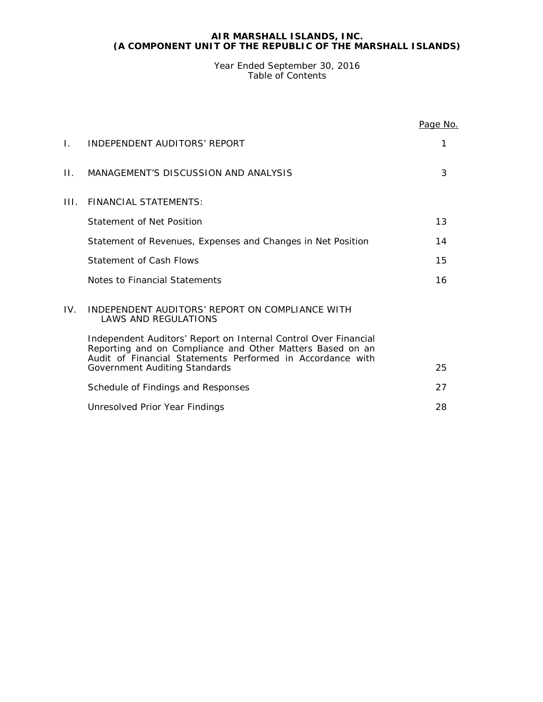Year Ended September 30, 2016 Table of Contents

|     |                                                                                                                                                                                            | Page No. |
|-----|--------------------------------------------------------------------------------------------------------------------------------------------------------------------------------------------|----------|
| Ι.  | INDEPENDENT AUDITORS' REPORT                                                                                                                                                               | 1        |
| Н.  | MANAGEMENT'S DISCUSSION AND ANALYSIS                                                                                                                                                       | 3        |
| HL. | FINANCIAL STATFMENTS:                                                                                                                                                                      |          |
|     | Statement of Net Position                                                                                                                                                                  | 13       |
|     | Statement of Revenues, Expenses and Changes in Net Position                                                                                                                                | 14       |
|     | Statement of Cash Flows                                                                                                                                                                    | 15       |
|     | Notes to Financial Statements                                                                                                                                                              | 16       |
| IV. | INDEPENDENT AUDITORS' REPORT ON COMPLIANCE WITH<br>LAWS AND REGULATIONS                                                                                                                    |          |
|     | Independent Auditors' Report on Internal Control Over Financial<br>Reporting and on Compliance and Other Matters Based on an<br>Audit of Financial Statements Performed in Accordance with |          |
|     | <b>Government Auditing Standards</b>                                                                                                                                                       | 25       |
|     | Schedule of Findings and Responses                                                                                                                                                         | 27       |
|     | Unresolved Prior Year Findings                                                                                                                                                             | 28       |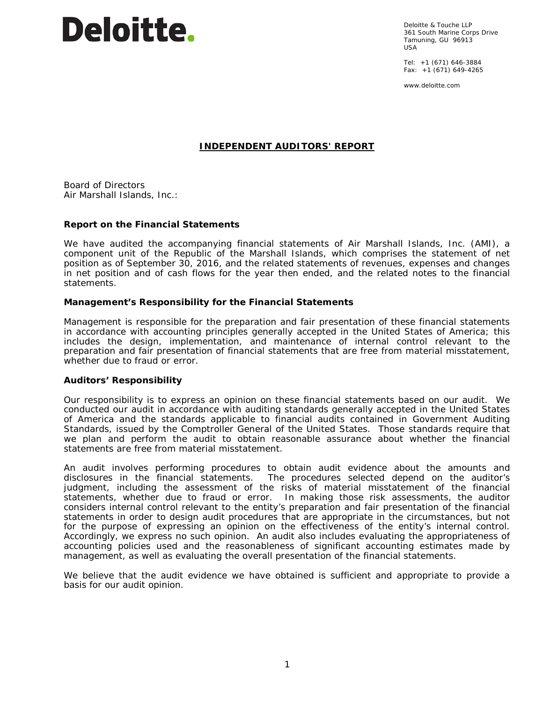# Deloitte.

Deloitte & Touche LLP 361 South Marine Corps Drive Tamuning, GU 96913 USA

Tel: +1 (671) 646-3884 Fax: +1 (671) 649-4265

www.deloitte.com

# **INDEPENDENT AUDITORS' REPORT**

Board of Directors Air Marshall Islands, Inc.:

# **Report on the Financial Statements**

We have audited the accompanying financial statements of Air Marshall Islands, Inc. (AMI), a component unit of the Republic of the Marshall Islands, which comprises the statement of net position as of September 30, 2016, and the related statements of revenues, expenses and changes in net position and of cash flows for the year then ended, and the related notes to the financial statements.

# *Management's Responsibility for the Financial Statements*

Management is responsible for the preparation and fair presentation of these financial statements in accordance with accounting principles generally accepted in the United States of America; this includes the design, implementation, and maintenance of internal control relevant to the preparation and fair presentation of financial statements that are free from material misstatement, whether due to fraud or error.

#### *Auditors' Responsibility*

Our responsibility is to express an opinion on these financial statements based on our audit. We conducted our audit in accordance with auditing standards generally accepted in the United States of America and the standards applicable to financial audits contained in *Government Auditing Standards*, issued by the Comptroller General of the United States. Those standards require that we plan and perform the audit to obtain reasonable assurance about whether the financial statements are free from material misstatement.

An audit involves performing procedures to obtain audit evidence about the amounts and disclosures in the financial statements. The procedures selected depend on the auditor's judgment, including the assessment of the risks of material misstatement of the financial statements, whether due to fraud or error. In making those risk assessments, the auditor considers internal control relevant to the entity's preparation and fair presentation of the financial statements in order to design audit procedures that are appropriate in the circumstances, but not for the purpose of expressing an opinion on the effectiveness of the entity's internal control. Accordingly, we express no such opinion. An audit also includes evaluating the appropriateness of accounting policies used and the reasonableness of significant accounting estimates made by management, as well as evaluating the overall presentation of the financial statements.

We believe that the audit evidence we have obtained is sufficient and appropriate to provide a basis for our audit opinion.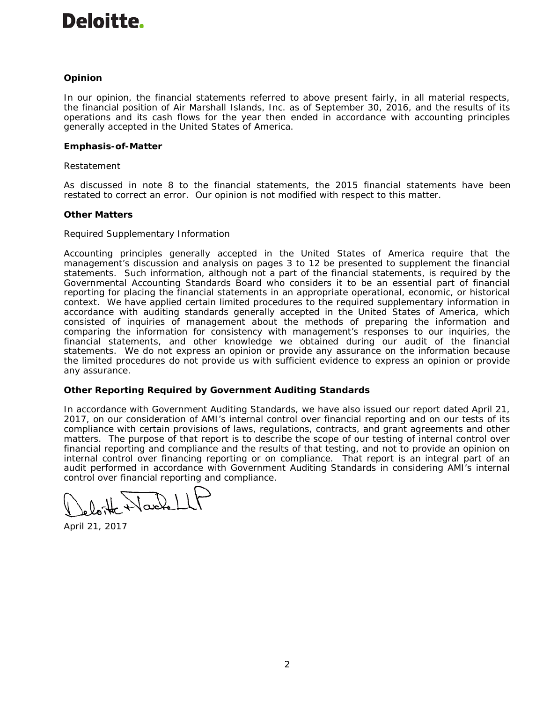# Deloitte.

# *Opinion*

In our opinion, the financial statements referred to above present fairly, in all material respects, the financial position of Air Marshall Islands, Inc. as of September 30, 2016, and the results of its operations and its cash flows for the year then ended in accordance with accounting principles generally accepted in the United States of America.

# *Emphasis-of-Matter*

# *Restatement*

As discussed in note 8 to the financial statements, the 2015 financial statements have been restated to correct an error. Our opinion is not modified with respect to this matter.

# *Other Matters*

# *Required Supplementary Information*

Accounting principles generally accepted in the United States of America require that the management's discussion and analysis on pages 3 to 12 be presented to supplement the financial statements. Such information, although not a part of the financial statements, is required by the Governmental Accounting Standards Board who considers it to be an essential part of financial reporting for placing the financial statements in an appropriate operational, economic, or historical context. We have applied certain limited procedures to the required supplementary information in accordance with auditing standards generally accepted in the United States of America, which consisted of inquiries of management about the methods of preparing the information and comparing the information for consistency with management's responses to our inquiries, the financial statements, and other knowledge we obtained during our audit of the financial statements. We do not express an opinion or provide any assurance on the information because the limited procedures do not provide us with sufficient evidence to express an opinion or provide any assurance.

# **Other Reporting Required by** *Government Auditing Standards*

In accordance with *Government Auditing Standards*, we have also issued our report dated April 21, 2017, on our consideration of AMI's internal control over financial reporting and on our tests of its compliance with certain provisions of laws, regulations, contracts, and grant agreements and other matters. The purpose of that report is to describe the scope of our testing of internal control over financial reporting and compliance and the results of that testing, and not to provide an opinion on internal control over financing reporting or on compliance. That report is an integral part of an audit performed in accordance with *Government Auditing Standards* in considering AMI's internal control over financial reporting and compliance.

April 21, 2017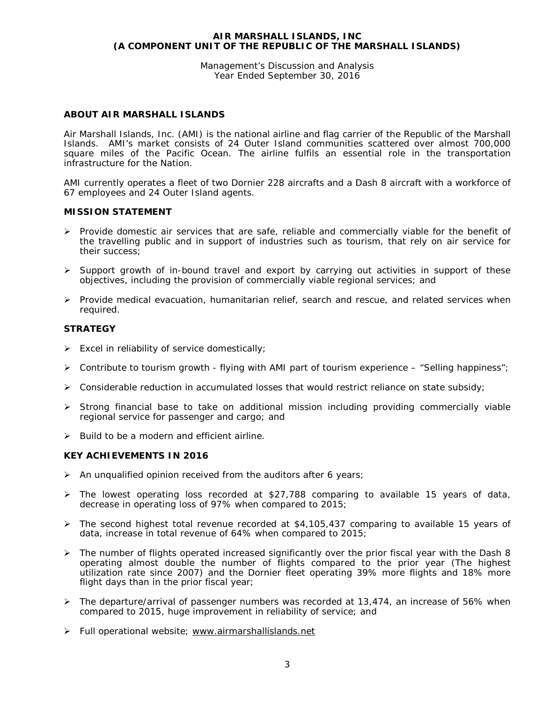Management's Discussion and Analysis Year Ended September 30, 2016

# **ABOUT AIR MARSHALL ISLANDS**

Air Marshall Islands, Inc. (AMI) is the national airline and flag carrier of the Republic of the Marshall Islands. AMI's market consists of 24 Outer Island communities scattered over almost 700,000 square miles of the Pacific Ocean. The airline fulfils an essential role in the transportation infrastructure for the Nation.

AMI currently operates a fleet of two Dornier 228 aircrafts and a Dash 8 aircraft with a workforce of 67 employees and 24 Outer Island agents.

#### **MISSION STATEMENT**

- $\triangleright$  Provide domestic air services that are safe, reliable and commercially viable for the benefit of the travelling public and in support of industries such as tourism, that rely on air service for their success;
- $\triangleright$  Support growth of in-bound travel and export by carrying out activities in support of these objectives, including the provision of commercially viable regional services; and
- $\triangleright$  Provide medical evacuation, humanitarian relief, search and rescue, and related services when required.

#### **STRATEGY**

- $\triangleright$  Excel in reliability of service domestically;
- $\triangleright$  Contribute to tourism growth flying with AMI part of tourism experience "Selling happiness";
- $\triangleright$  Considerable reduction in accumulated losses that would restrict reliance on state subsidy;
- $\triangleright$  Strong financial base to take on additional mission including providing commercially viable regional service for passenger and cargo; and
- $\triangleright$  Build to be a modern and efficient airline.

# **KEY ACHIEVEMENTS IN 2016**

- $\triangleright$  An unqualified opinion received from the auditors after 6 years;
- $\triangleright$  The lowest operating loss recorded at \$27,788 comparing to available 15 years of data, decrease in operating loss of 97% when compared to 2015;
- $\triangleright$  The second highest total revenue recorded at \$4,105,437 comparing to available 15 years of data, increase in total revenue of 64% when compared to 2015;
- $\triangleright$  The number of flights operated increased significantly over the prior fiscal year with the Dash 8 operating almost double the number of flights compared to the prior year (The highest utilization rate since 2007) and the Dornier fleet operating 39% more flights and 18% more flight days than in the prior fiscal year;
- $\triangleright$  The departure/arrival of passenger numbers was recorded at 13,474, an increase of 56% when compared to 2015, huge improvement in reliability of service; and
- $\triangleright$  Full operational website; [www.airmarshallislands.net](http://www.airmarshallislands.net/)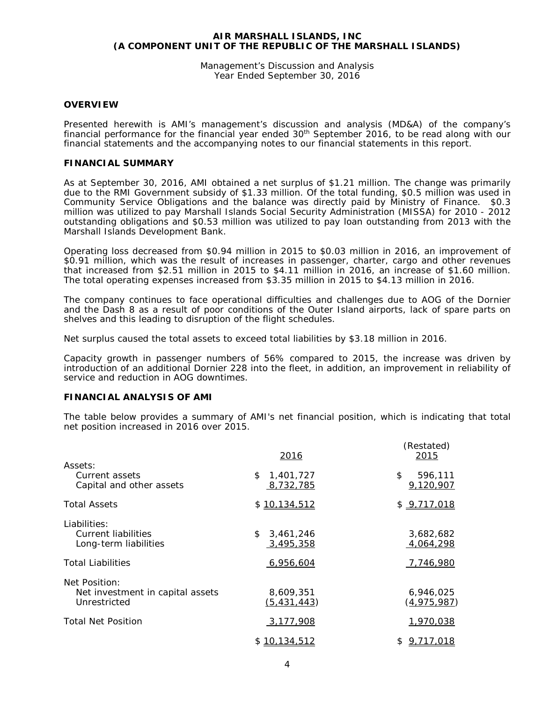Management's Discussion and Analysis Year Ended September 30, 2016

#### **OVERVIEW**

Presented herewith is AMI's management's discussion and analysis (MD&A) of the company's financial performance for the financial year ended 30<sup>th</sup> September 2016, to be read along with our financial statements and the accompanying notes to our financial statements in this report.

#### **FINANCIAL SUMMARY**

As at September 30, 2016, AMI obtained a net surplus of \$1.21 million. The change was primarily due to the RMI Government subsidy of \$1.33 million. Of the total funding, \$0.5 million was used in Community Service Obligations and the balance was directly paid by Ministry of Finance. \$0.3 million was utilized to pay Marshall Islands Social Security Administration (MISSA) for 2010 - 2012 outstanding obligations and \$0.53 million was utilized to pay loan outstanding from 2013 with the Marshall Islands Development Bank.

Operating loss decreased from \$0.94 million in 2015 to \$0.03 million in 2016, an improvement of \$0.91 million, which was the result of increases in passenger, charter, cargo and other revenues that increased from \$2.51 million in 2015 to \$4.11 million in 2016, an increase of \$1.60 million. The total operating expenses increased from \$3.35 million in 2015 to \$4.13 million in 2016.

The company continues to face operational difficulties and challenges due to AOG of the Dornier and the Dash 8 as a result of poor conditions of the Outer Island airports, lack of spare parts on shelves and this leading to disruption of the flight schedules.

Net surplus caused the total assets to exceed total liabilities by \$3.18 million in 2016.

Capacity growth in passenger numbers of 56% compared to 2015, the increase was driven by introduction of an additional Dornier 228 into the fleet, in addition, an improvement in reliability of service and reduction in AOG downtimes.

# **FINANCIAL ANALYSIS OF AMI**

The table below provides a summary of AMI's net financial position, which is indicating that total net position increased in 2016 over 2015.

| Assets:                                                                                  | 2016                                  | (Restated)<br>2015                  |
|------------------------------------------------------------------------------------------|---------------------------------------|-------------------------------------|
| Current assets<br>Capital and other assets                                               | \$1,401,727<br>8,732,785              | \$<br>596,111<br>9,120,907          |
| <b>Total Assets</b>                                                                      | \$10,134,512                          | \$9,717,018                         |
| Liabilities:<br>Current liabilities<br>Long-term liabilities<br><b>Total Liabilities</b> | \$3,461,246<br>3,495,358<br>6,956,604 | 3,682,682<br>4,064,298<br>7,746,980 |
| Net Position:<br>Net investment in capital assets<br>Unrestricted                        | 8,609,351<br>(5, 431, 443)            | 6,946,025<br>(4, 975, 987)          |
| <b>Total Net Position</b>                                                                | 3,177,908                             | 1,970,038                           |
|                                                                                          | 10,134,512<br>S.                      | 9,717,018<br>\$                     |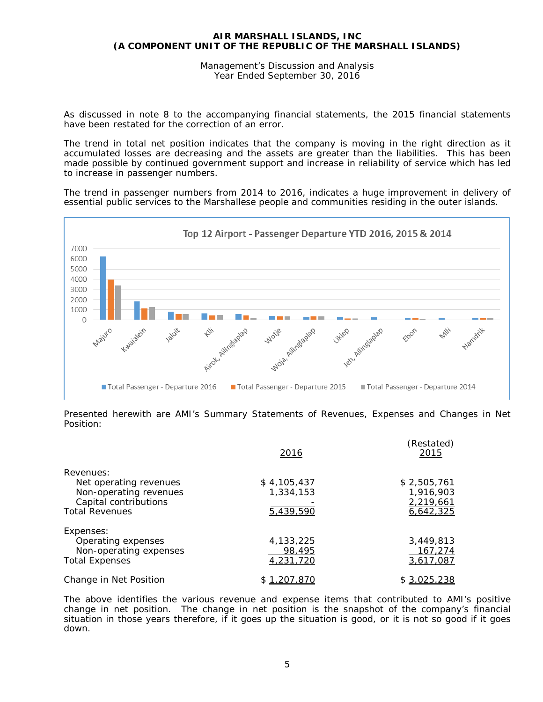Management's Discussion and Analysis Year Ended September 30, 2016

As discussed in note 8 to the accompanying financial statements, the 2015 financial statements have been restated for the correction of an error.

The trend in total net position indicates that the company is moving in the right direction as it accumulated losses are decreasing and the assets are greater than the liabilities. This has been made possible by continued government support and increase in reliability of service which has led to increase in passenger numbers.

The trend in passenger numbers from 2014 to 2016, indicates a huge improvement *in delivery of essential public services to the Marshallese people and communities residing in the outer islands*.



Presented herewith are AMI's Summary Statements of Revenues, Expenses and Changes in Net Position:

|                                                                                                                 | 2016                                  | (Restated)<br>2015                                 |
|-----------------------------------------------------------------------------------------------------------------|---------------------------------------|----------------------------------------------------|
| Revenues:<br>Net operating revenues<br>Non-operating revenues<br>Capital contributions<br><b>Total Revenues</b> | \$4,105,437<br>1,334,153<br>5,439,590 | \$2,505,761<br>1,916,903<br>2,219,661<br>6,642,325 |
| Expenses:<br>Operating expenses<br>Non-operating expenses<br><b>Total Expenses</b>                              | 4,133,225<br>98,495<br>4,231,720      | 3,449,813<br>167,274<br>3,617,087                  |
| Change in Net Position                                                                                          | \$1,207.870                           | \$ 3,025,238                                       |

The above identifies the various revenue and expense items that contributed to AMI's positive change in net position. The change in net position is the snapshot of the company's financial situation in those years therefore, if it goes up the situation is good, or it is not so good if it goes down.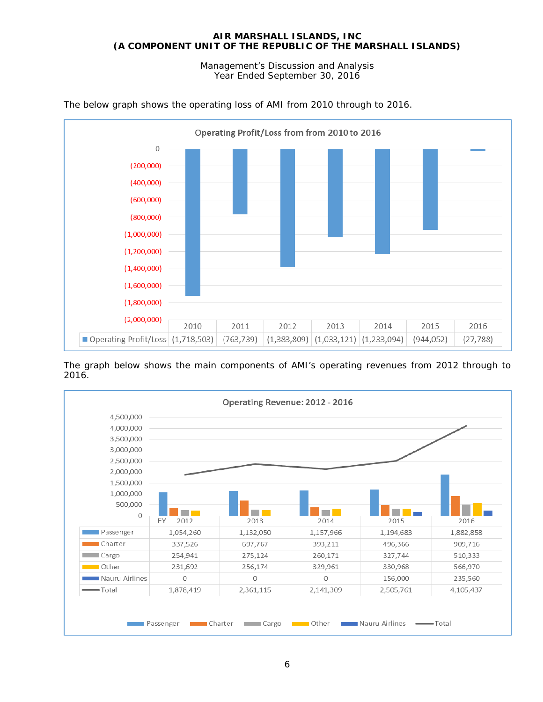Management's Discussion and Analysis Year Ended September 30, 2016



The below graph shows the operating loss of AMI from 2010 through to 2016.

The graph below shows the main components of AMI's operating revenues from 2012 through to 2016.

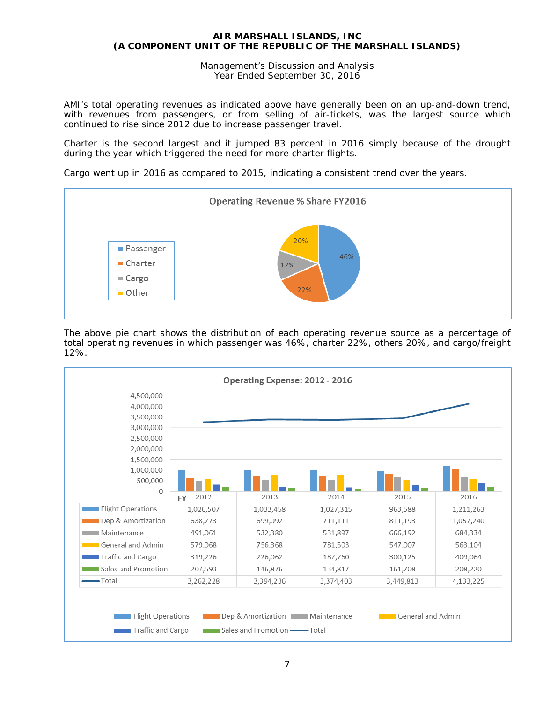Management's Discussion and Analysis Year Ended September 30, 2016

AMI's total operating revenues as indicated above have generally been on an up-and-down trend, with revenues from passengers, or from selling of air-tickets, was the largest source which continued to rise since 2012 due to increase passenger travel.

Charter is the second largest and it jumped 83 percent in 2016 simply because of the drought during the year which triggered the need for more charter flights.

Cargo went up in 2016 as compared to 2015, indicating a consistent trend over the years.



The above pie chart shows the distribution of each operating revenue source as a percentage of total operating revenues in which passenger was 46%, charter 22%, others 20%, and cargo/freight 12%.

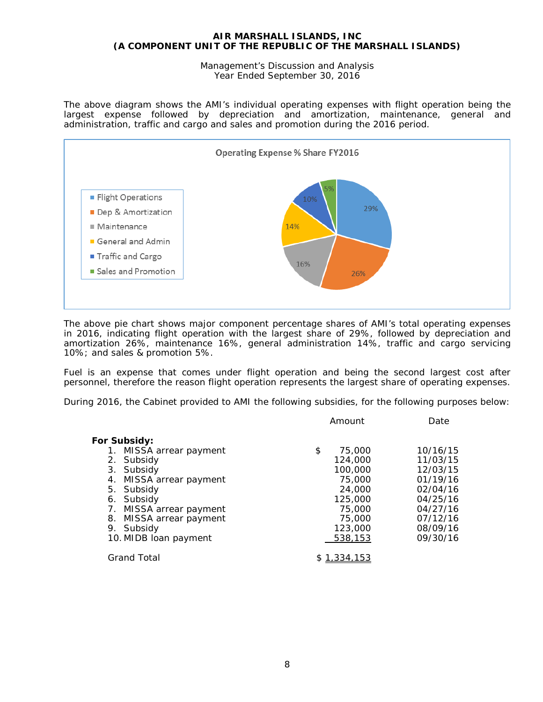Management's Discussion and Analysis Year Ended September 30, 2016

The above diagram shows the AMI's individual operating expenses with flight operation being the largest expense followed by depreciation and amortization, maintenance, general and administration, traffic and cargo and sales and promotion during the 2016 period.



The above pie chart shows major component percentage shares of AMI's total operating expenses in 2016, indicating flight operation with the largest share of 29%, followed by depreciation and amortization 26%, maintenance 16%, general administration 14%, traffic and cargo servicing 10%; and sales & promotion 5%.

Fuel is an expense that comes under flight operation and being the second largest cost after personnel, therefore the reason flight operation represents the largest share of operating expenses.

During 2016, the Cabinet provided to AMI the following subsidies, for the following purposes below:

|                            | Amount       | Date     |
|----------------------------|--------------|----------|
| For Subsidy:               |              |          |
| 1. MISSA arrear payment    | \$<br>75,000 | 10/16/15 |
| 2. Subsidy                 | 124,000      | 11/03/15 |
| 3. Subsidy                 | 100,000      | 12/03/15 |
| 4. MISSA arrear payment    | 75,000       | 01/19/16 |
| 5. Subsidy                 | 24,000       | 02/04/16 |
| 6. Subsidy                 | 125,000      | 04/25/16 |
| MISSA arrear payment<br>7. | 75,000       | 04/27/16 |
| MISSA arrear payment<br>8. | 75,000       | 07/12/16 |
| 9. Subsidy                 | 123,000      | 08/09/16 |
| 10. MIDB loan payment      | 538,153      | 09/30/16 |
| Grand Total                | 1,334,153    |          |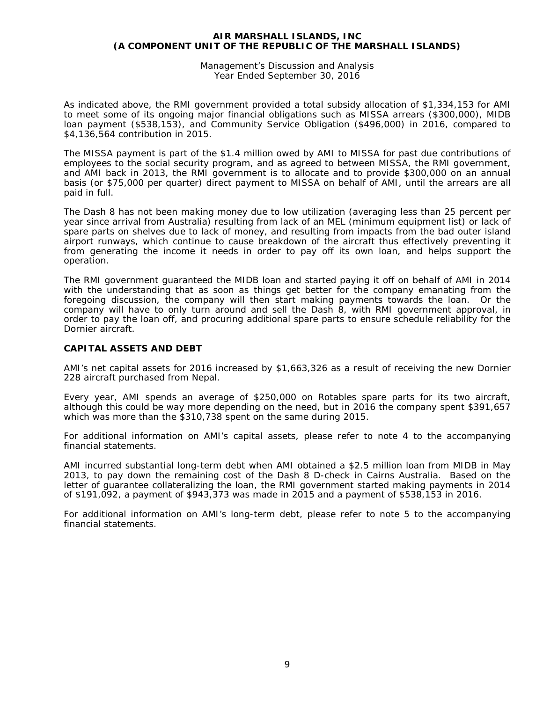Management's Discussion and Analysis Year Ended September 30, 2016

As indicated above, the RMI government provided a total subsidy allocation of \$1,334,153 for AMI to meet some of its ongoing major financial obligations such as MISSA arrears (\$300,000), MIDB loan payment (\$538,153), and Community Service Obligation (\$496,000) in 2016, compared to \$4,136,564 contribution in 2015.

The MISSA payment is part of the \$1.4 million owed by AMI to MISSA for past due contributions of employees to the social security program, and as agreed to between MISSA, the RMI government, and AMI back in 2013, the RMI government is to allocate and to provide \$300,000 on an annual basis (or \$75,000 per quarter) direct payment to MISSA on behalf of AMI, until the arrears are all paid in full.

The Dash 8 has not been making money due to low utilization (averaging less than 25 percent per year since arrival from Australia) resulting from lack of an MEL (minimum equipment list) or lack of spare parts on shelves due to lack of money, and resulting from impacts from the bad outer island airport runways, which continue to cause breakdown of the aircraft thus effectively preventing it from generating the income it needs in order to pay off its own loan, and helps support the operation.

The RMI government guaranteed the MIDB loan and started paying it off on behalf of AMI in 2014 with the understanding that as soon as things get better for the company emanating from the foregoing discussion, the company will then start making payments towards the loan. Or the company will have to only turn around and sell the Dash 8, with RMI government approval, in order to pay the loan off, and procuring additional spare parts to ensure schedule reliability for the Dornier aircraft.

# **CAPITAL ASSETS AND DEBT**

AMI's net capital assets for 2016 increased by \$1,663,326 as a result of receiving the new Dornier 228 aircraft purchased from Nepal.

Every year, AMI spends an average of \$250,000 on Rotables spare parts for its two aircraft, although this could be way more depending on the need, but in 2016 the company spent \$391,657 which was more than the \$310,738 spent on the same during 2015.

For additional information on AMI's capital assets, please refer to note 4 to the accompanying financial statements.

AMI incurred substantial long-term debt when AMI obtained a \$2.5 million loan from MIDB in May 2013, to pay down the remaining cost of the Dash 8 D-check in Cairns Australia. Based on the letter of guarantee collateralizing the loan, the RMI government started making payments in 2014 of \$191,092, a payment of \$943,373 was made in 2015 and a payment of \$538,153 in 2016.

For additional information on AMI's long-term debt, please refer to note 5 to the accompanying financial statements.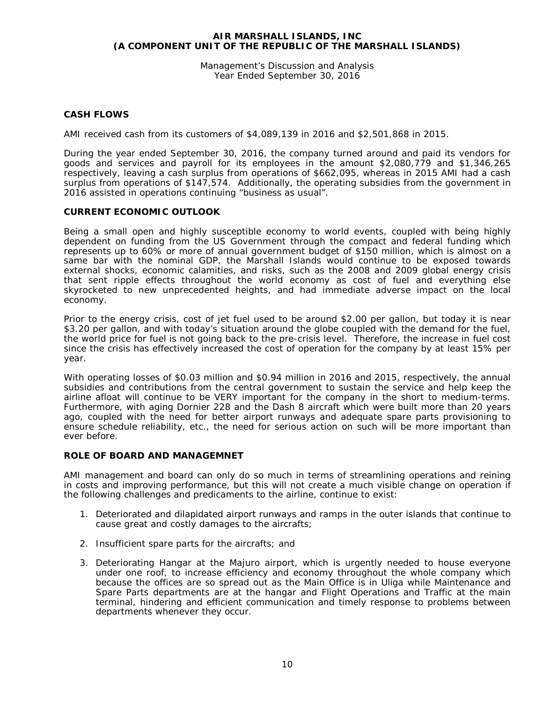Management's Discussion and Analysis Year Ended September 30, 2016

# **CASH FLOWS**

AMI received cash from its customers of \$4,089,139 in 2016 and \$2,501,868 in 2015.

During the year ended September 30, 2016, the company turned around and paid its vendors for goods and services and payroll for its employees in the amount \$2,080,779 and \$1,346,265 respectively, leaving a cash surplus from operations of \$662,095, whereas in 2015 AMI had a cash surplus from operations of \$147,574. Additionally, the operating subsidies from the government in 2016 assisted in operations continuing "business as usual".

#### **CURRENT ECONOMIC OUTLOOK**

Being a small open and highly susceptible economy to world events, coupled with being highly dependent on funding from the US Government through the compact and federal funding which represents up to 60% or more of annual government budget of \$150 million, which is almost on a same bar with the nominal GDP, the Marshall Islands would continue to be exposed towards external shocks, economic calamities, and risks, such as the 2008 and 2009 global energy crisis that sent ripple effects throughout the world economy as cost of fuel and everything else skyrocketed to new unprecedented heights, and had immediate adverse impact on the local economy.

Prior to the energy crisis, cost of jet fuel used to be around \$2.00 per gallon, but today it is near \$3.20 per gallon, and with today's situation around the globe coupled with the demand for the fuel, the world price for fuel is not going back to the pre-crisis level. Therefore, the increase in fuel cost since the crisis has effectively increased the cost of operation for the company by at least 15% per year.

With operating losses of \$0.03 million and \$0.94 million in 2016 and 2015, respectively, the annual subsidies and contributions from the central government to sustain the service and help keep the airline afloat will continue to be VERY important for the company in the short to medium-terms. Furthermore, with aging Dornier 228 and the Dash 8 aircraft which were built more than 20 years ago, coupled with the need for better airport runways and adequate spare parts provisioning to ensure schedule reliability, etc., the need for serious action on such will be more important than ever before.

# **ROLE OF BOARD AND MANAGEMNET**

AMI management and board can only do so much in terms of streamlining operations and reining in costs and improving performance, but this will not create a much visible change on operation if the following challenges and predicaments to the airline, continue to exist:

- 1. Deteriorated and dilapidated airport runways and ramps in the outer islands that continue to cause great and costly damages to the aircrafts;
- 2. Insufficient spare parts for the aircrafts; and
- 3. Deteriorating Hangar at the Majuro airport, which is urgently needed to house everyone under one roof, to increase efficiency and economy throughout the whole company which because the offices are so spread out as the Main Office is in Uliga while Maintenance and Spare Parts departments are at the hangar and Flight Operations and Traffic at the main terminal, hindering and efficient communication and timely response to problems between departments whenever they occur.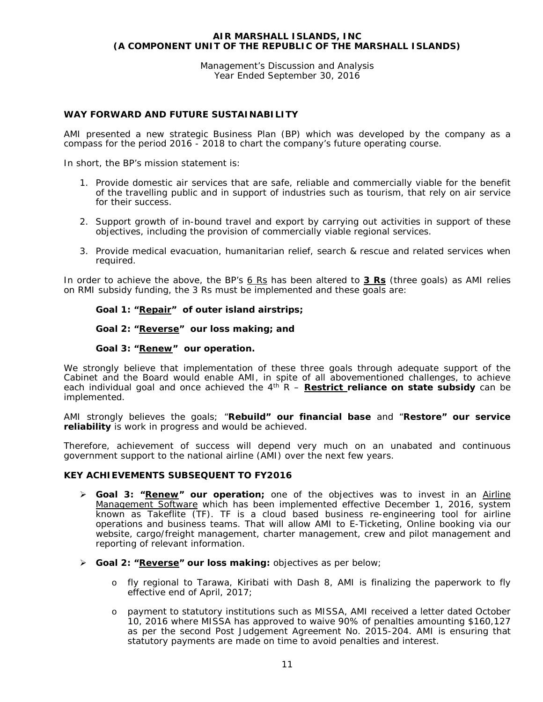Management's Discussion and Analysis Year Ended September 30, 2016

# **WAY FORWARD AND FUTURE SUSTAINABILITY**

AMI presented a new strategic Business Plan (BP) which was developed by the company as a compass for the period 2016 - 2018 to chart the company's future operating course.

In short, the BP's mission statement is:

- 1. Provide domestic air services that are safe, reliable and commercially viable for the benefit of the travelling public and in support of industries such as tourism, that rely on air service for their success.
- 2. Support growth of in-bound travel and export by carrying out activities in support of these objectives, including the provision of commercially viable regional services.
- 3. Provide medical evacuation, humanitarian relief, search & rescue and related services when required.

In order to achieve the above, the BP's *6 Rs* has been altered to **3 Rs** (three goals) as AMI relies on RMI subsidy funding, the 3 Rs must be implemented and these goals are:

#### *Goal 1: "Repair" of outer island airstrips;*

*Goal 2: "Reverse" our loss making; and*

#### *Goal 3: "Renew" our operation.*

We strongly believe that implementation of these three goals through adequate support of the Cabinet and the Board would enable AMI, in spite of all abovementioned challenges, to achieve each individual goal and once achieved the 4<sup>th</sup> R – **Restrict reliance on state subsidy** can be implemented.

AMI strongly believes the goals; "**Rebuild" our financial base** and "**Restore" our service reliability** is work in progress and would be achieved.

Therefore, achievement of success will depend very much on an unabated and continuous government support to the national airline (AMI) over the next few years.

#### **KEY ACHIEVEMENTS SUBSEQUENT TO FY2016**

- **Example 3: "Renew" our operation**; one of the objectives was to invest in an Airline Management Software which has been implemented effective December 1, 2016, system known as Takeflite (TF). TF is a cloud based business re-engineering tool for airline operations and business teams. That will allow AMI to E-Ticketing, Online booking via our website, cargo/freight management, charter management, crew and pilot management and reporting of relevant information.
- **Goal 2: "Reverse" our loss making:** objectives as per below;
	- o fly regional to Tarawa, Kiribati with Dash 8, AMI is finalizing the paperwork to fly effective end of April, 2017;
	- o payment to statutory institutions such as MISSA, AMI received a letter dated October 10, 2016 where MISSA has approved to waive 90% of penalties amounting \$160,127 as per the second Post Judgement Agreement No. 2015-204. AMI is ensuring that statutory payments are made on time to avoid penalties and interest.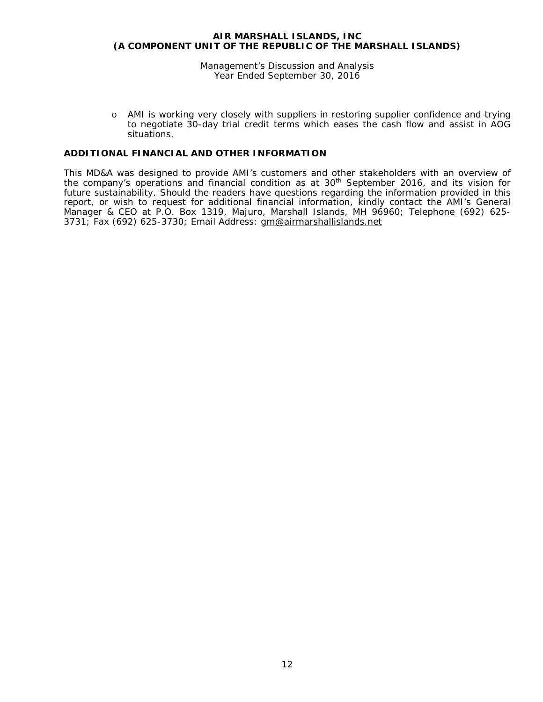Management's Discussion and Analysis Year Ended September 30, 2016

o AMI is working very closely with suppliers in restoring supplier confidence and trying to negotiate 30-day trial credit terms which eases the cash flow and assist in AOG situations.

# **ADDITIONAL FINANCIAL AND OTHER INFORMATION**

This MD&A was designed to provide AMI's customers and other stakeholders with an overview of the company's operations and financial condition as at 30<sup>th</sup> September 2016, and its vision for future sustainability. Should the readers have questions regarding the information provided in this report, or wish to request for additional financial information, kindly contact the AMI's General Manager & CEO at P.O. Box 1319, Majuro, Marshall Islands, MH 96960; Telephone (692) 625- 3731; Fax (692) 625-3730; Email Address: [gm@airmarshallislands.](mailto:gm@airmarshallislands)net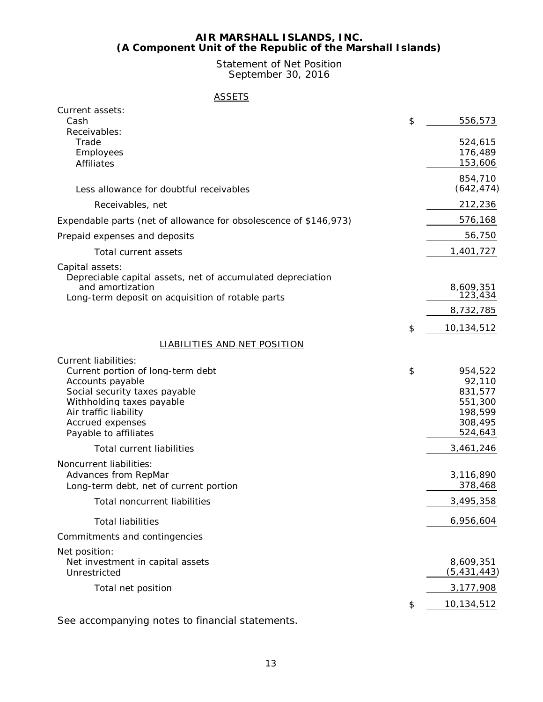# **AIR MARSHALL ISLANDS, INC. (A Component Unit of the Republic of the Marshall Islands)**

Statement of Net Position September 30, 2016

# **ASSETS**

| Current assets:                                                       |                      |
|-----------------------------------------------------------------------|----------------------|
| Cash                                                                  | \$<br>556,573        |
| Receivables:                                                          |                      |
| Trade<br>Employees                                                    | 524,615<br>176,489   |
| <b>Affiliates</b>                                                     | 153,606              |
|                                                                       | 854,710              |
| Less allowance for doubtful receivables                               | (642, 474)           |
| Receivables, net                                                      | 212,236              |
| Expendable parts (net of allowance for obsolescence of \$146,973)     | 576,168              |
| Prepaid expenses and deposits                                         | 56,750               |
| Total current assets                                                  | 1,401,727            |
| Capital assets:                                                       |                      |
| Depreciable capital assets, net of accumulated depreciation           |                      |
| and amortization<br>Long-term deposit on acquisition of rotable parts | 8,609,351<br>123,434 |
|                                                                       | 8,732,785            |
|                                                                       | \$<br>10,134,512     |
| <b>LIABILITIES AND NET POSITION</b>                                   |                      |
| <b>Current liabilities:</b>                                           |                      |
| Current portion of long-term debt                                     | \$<br>954,522        |
| Accounts payable                                                      | 92,110               |
| Social security taxes payable<br>Withholding taxes payable            | 831,577<br>551,300   |
| Air traffic liability                                                 | 198,599              |
| Accrued expenses                                                      | 308,495              |
| Payable to affiliates                                                 | 524,643              |
| <b>Total current liabilities</b>                                      | 3,461,246            |
| Noncurrent liabilities:                                               |                      |
| Advances from RepMar                                                  | 3,116,890            |
| Long-term debt, net of current portion                                | 378,468              |
| Total noncurrent liabilities                                          | 3,495,358            |
| <b>Total liabilities</b>                                              | 6,956,604            |
| Commitments and contingencies                                         |                      |
| Net position:                                                         |                      |
| Net investment in capital assets                                      | 8,609,351            |
| Unrestricted                                                          | (5, 431, 443)        |
| Total net position                                                    | 3,177,908            |
|                                                                       | \$<br>10,134,512     |

See accompanying notes to financial statements.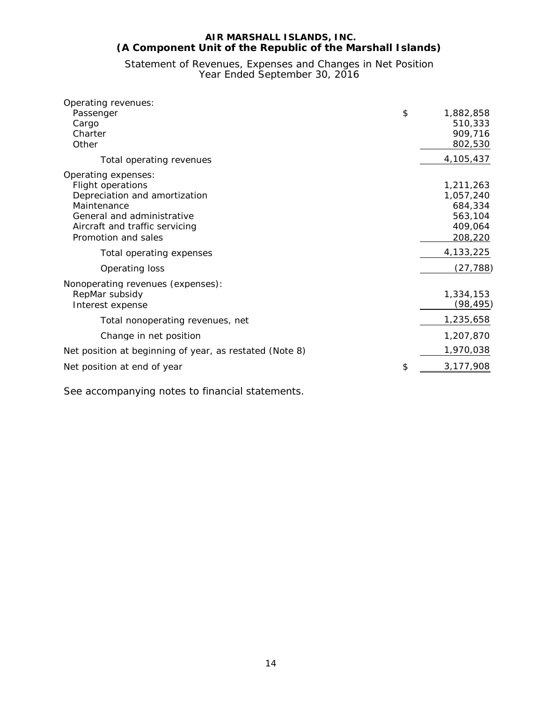# **AIR MARSHALL ISLANDS, INC. (A Component Unit of the Republic of the Marshall Islands)**

Statement of Revenues, Expenses and Changes in Net Position Year Ended September 30, 2016

| Operating revenues:                                     |                 |
|---------------------------------------------------------|-----------------|
| Passenger                                               | \$<br>1,882,858 |
| Cargo                                                   | 510,333         |
| Charter                                                 | 909,716         |
| Other                                                   | 802,530         |
| Total operating revenues                                | 4,105,437       |
| Operating expenses:                                     |                 |
| Flight operations                                       | 1,211,263       |
| Depreciation and amortization                           | 1,057,240       |
| Maintenance                                             | 684,334         |
| General and administrative                              | 563,104         |
| Aircraft and traffic servicing                          | 409,064         |
| Promotion and sales                                     | 208,220         |
| Total operating expenses                                | 4,133,225       |
| Operating loss                                          | (27, 788)       |
| Nonoperating revenues (expenses):                       |                 |
| RepMar subsidy                                          | 1,334,153       |
| Interest expense                                        | (98,495)        |
| Total nonoperating revenues, net                        | 1,235,658       |
| Change in net position                                  | 1,207,870       |
| Net position at beginning of year, as restated (Note 8) | 1,970,038       |
| Net position at end of year                             | \$<br>3,177,908 |
|                                                         |                 |

See accompanying notes to financial statements.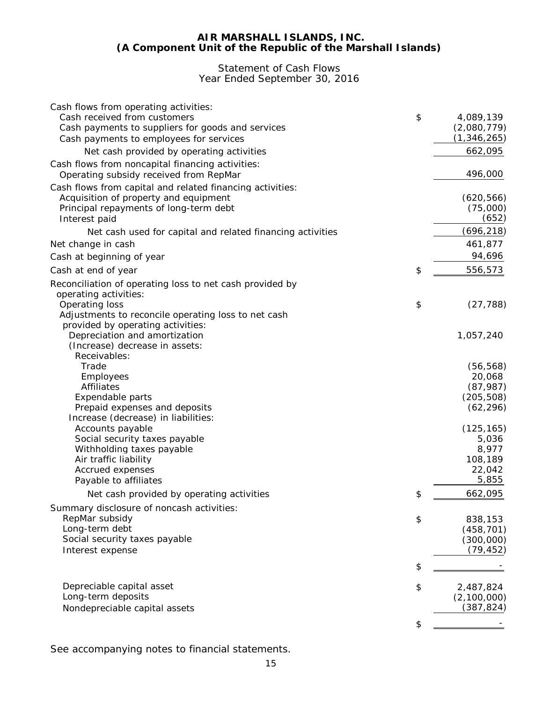# **AIR MARSHALL ISLANDS, INC. (A Component Unit of the Republic of the Marshall Islands)**

# Statement of Cash Flows Year Ended September 30, 2016

| Cash flows from operating activities:                      |                              |
|------------------------------------------------------------|------------------------------|
| Cash received from customers                               | \$<br>4,089,139              |
| Cash payments to suppliers for goods and services          | (2,080,779)<br>(1, 346, 265) |
| Cash payments to employees for services                    |                              |
| Net cash provided by operating activities                  | 662,095                      |
| Cash flows from noncapital financing activities:           |                              |
| Operating subsidy received from RepMar                     | 496,000                      |
| Cash flows from capital and related financing activities:  |                              |
| Acquisition of property and equipment                      | (620, 566)                   |
| Principal repayments of long-term debt                     | (75,000)                     |
| Interest paid                                              | (652)                        |
| Net cash used for capital and related financing activities | (696, 218)                   |
| Net change in cash                                         | 461,877                      |
| Cash at beginning of year                                  | 94,696                       |
| Cash at end of year                                        | \$<br>556,573                |
| Reconciliation of operating loss to net cash provided by   |                              |
| operating activities:                                      |                              |
| Operating loss                                             | \$<br>(27, 788)              |
| Adjustments to reconcile operating loss to net cash        |                              |
| provided by operating activities:                          |                              |
| Depreciation and amortization                              | 1,057,240                    |
| (Increase) decrease in assets:                             |                              |
| Receivables:                                               |                              |
| Trade                                                      | (56, 568)<br>20,068          |
| Employees<br><b>Affiliates</b>                             | (87, 987)                    |
| Expendable parts                                           | (205, 508)                   |
| Prepaid expenses and deposits                              | (62, 296)                    |
| Increase (decrease) in liabilities:                        |                              |
| Accounts payable                                           | (125, 165)                   |
| Social security taxes payable                              | 5,036                        |
| Withholding taxes payable                                  | 8,977                        |
| Air traffic liability                                      | 108,189                      |
| Accrued expenses                                           | 22,042                       |
| Payable to affiliates                                      | 5,855                        |
| Net cash provided by operating activities                  | \$<br>662,095                |
| Summary disclosure of noncash activities:                  |                              |
| RepMar subsidy                                             | \$<br>838,153                |
| Long-term debt                                             | (458, 701)                   |
| Social security taxes payable                              | (300,000)                    |
| Interest expense                                           | (79, 452)                    |
|                                                            | \$                           |
| Depreciable capital asset                                  | \$<br>2,487,824              |
| Long-term deposits                                         | (2, 100, 000)                |
| Nondepreciable capital assets                              | (387, 824)                   |
|                                                            |                              |
|                                                            | \$                           |

See accompanying notes to financial statements.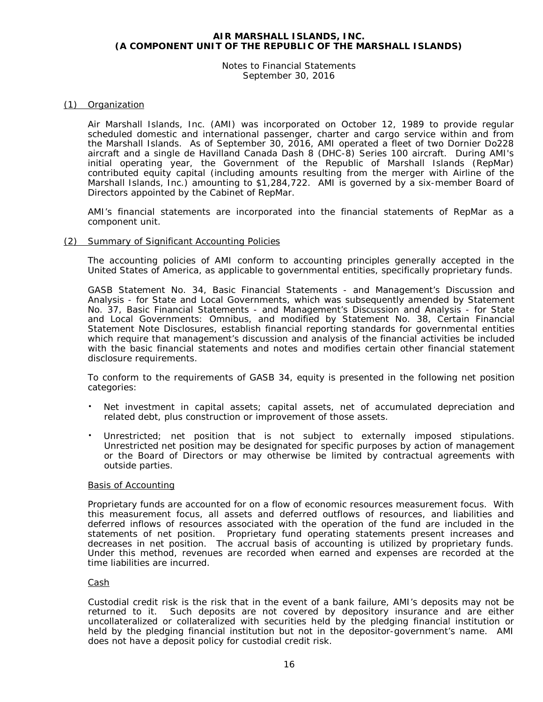Notes to Financial Statements September 30, 2016

### (1) Organization

Air Marshall Islands, Inc. (AMI) was incorporated on October 12, 1989 to provide regular scheduled domestic and international passenger, charter and cargo service within and from the Marshall Islands. As of September 30, 2016, AMI operated a fleet of two Dornier Do228 aircraft and a single de Havilland Canada Dash 8 (DHC-8) Series 100 aircraft. During AMI's initial operating year, the Government of the Republic of Marshall Islands (RepMar) contributed equity capital (including amounts resulting from the merger with Airline of the Marshall Islands, Inc.) amounting to \$1,284,722. AMI is governed by a six-member Board of Directors appointed by the Cabinet of RepMar.

AMI's financial statements are incorporated into the financial statements of RepMar as a component unit.

#### (2) Summary of Significant Accounting Policies

The accounting policies of AMI conform to accounting principles generally accepted in the United States of America, as applicable to governmental entities, specifically proprietary funds.

GASB Statement No. 34, *Basic Financial Statements - and Management's Discussion and Analysis - for State and Local Governments*, which was subsequently amended by Statement No. 37, *Basic Financial Statements - and Management's Discussion and Analysis - for State and Local Governments: Omnibus*, and modified by Statement No. 38, *Certain Financial Statement Note Disclosures*, establish financial reporting standards for governmental entities which require that management's discussion and analysis of the financial activities be included with the basic financial statements and notes and modifies certain other financial statement disclosure requirements.

To conform to the requirements of GASB 34, equity is presented in the following net position categories:

- Net investment in capital assets; capital assets, net of accumulated depreciation and related debt, plus construction or improvement of those assets.
- Unrestricted; net position that is not subject to externally imposed stipulations. Unrestricted net position may be designated for specific purposes by action of management or the Board of Directors or may otherwise be limited by contractual agreements with outside parties.

# Basis of Accounting

Proprietary funds are accounted for on a flow of economic resources measurement focus. With this measurement focus, all assets and deferred outflows of resources, and liabilities and deferred inflows of resources associated with the operation of the fund are included in the statements of net position. Proprietary fund operating statements present increases and decreases in net position. The accrual basis of accounting is utilized by proprietary funds. Under this method, revenues are recorded when earned and expenses are recorded at the time liabilities are incurred.

#### Cash

Custodial credit risk is the risk that in the event of a bank failure, AMI's deposits may not be returned to it. Such deposits are not covered by depository insurance and are either uncollateralized or collateralized with securities held by the pledging financial institution or held by the pledging financial institution but not in the depositor-government's name. AMI does not have a deposit policy for custodial credit risk.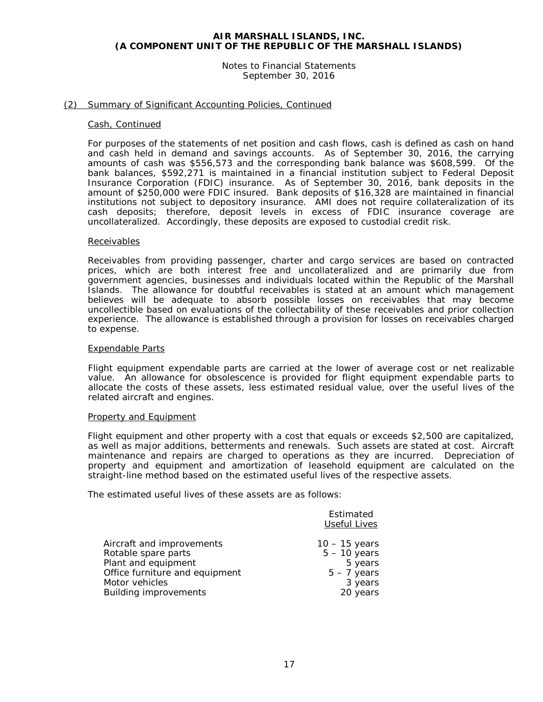#### Notes to Financial Statements September 30, 2016

### (2) Summary of Significant Accounting Policies, Continued

#### Cash, Continued

For purposes of the statements of net position and cash flows, cash is defined as cash on hand and cash held in demand and savings accounts. As of September 30, 2016, the carrying amounts of cash was \$556,573 and the corresponding bank balance was \$608,599. Of the bank balances, \$592,271 is maintained in a financial institution subject to Federal Deposit Insurance Corporation (FDIC) insurance. As of September 30, 2016, bank deposits in the amount of \$250,000 were FDIC insured. Bank deposits of \$16,328 are maintained in financial institutions not subject to depository insurance. AMI does not require collateralization of its cash deposits; therefore, deposit levels in excess of FDIC insurance coverage are uncollateralized. Accordingly, these deposits are exposed to custodial credit risk.

#### **Receivables**

Receivables from providing passenger, charter and cargo services are based on contracted prices, which are both interest free and uncollateralized and are primarily due from government agencies, businesses and individuals located within the Republic of the Marshall Islands. The allowance for doubtful receivables is stated at an amount which management believes will be adequate to absorb possible losses on receivables that may become uncollectible based on evaluations of the collectability of these receivables and prior collection experience. The allowance is established through a provision for losses on receivables charged to expense.

#### Expendable Parts

Flight equipment expendable parts are carried at the lower of average cost or net realizable value. An allowance for obsolescence is provided for flight equipment expendable parts to allocate the costs of these assets, less estimated residual value, over the useful lives of the related aircraft and engines.

#### Property and Equipment

Flight equipment and other property with a cost that equals or exceeds \$2,500 are capitalized, as well as major additions, betterments and renewals. Such assets are stated at cost. Aircraft maintenance and repairs are charged to operations as they are incurred. Depreciation of property and equipment and amortization of leasehold equipment are calculated on the straight-line method based on the estimated useful lives of the respective assets.

The estimated useful lives of these assets are as follows:

|                                | Estimated<br><b>Useful Lives</b> |
|--------------------------------|----------------------------------|
| Aircraft and improvements      | $10 - 15$ years                  |
| Rotable spare parts            | $5 - 10$ years                   |
| Plant and equipment            | 5 years                          |
| Office furniture and equipment | $5 - 7$ years                    |
| Motor vehicles                 | 3 years                          |
| <b>Building improvements</b>   | 20 years                         |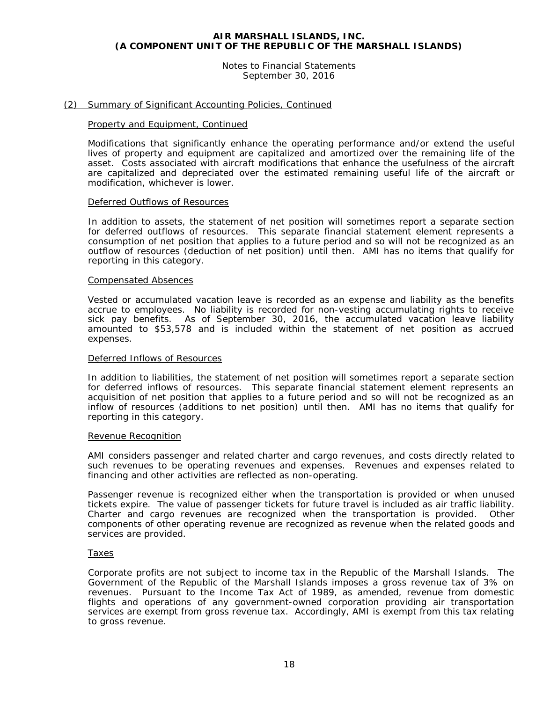Notes to Financial Statements September 30, 2016

#### (2) Summary of Significant Accounting Policies, Continued

#### Property and Equipment, Continued

Modifications that significantly enhance the operating performance and/or extend the useful lives of property and equipment are capitalized and amortized over the remaining life of the asset. Costs associated with aircraft modifications that enhance the usefulness of the aircraft are capitalized and depreciated over the estimated remaining useful life of the aircraft or modification, whichever is lower.

#### Deferred Outflows of Resources

In addition to assets, the statement of net position will sometimes report a separate section for deferred outflows of resources. This separate financial statement element represents a consumption of net position that applies to a future period and so will not be recognized as an outflow of resources (deduction of net position) until then. AMI has no items that qualify for reporting in this category.

#### Compensated Absences

Vested or accumulated vacation leave is recorded as an expense and liability as the benefits accrue to employees. No liability is recorded for non-vesting accumulating rights to receive sick pay benefits. As of September 30, 2016, the accumulated vacation leave liability amounted to \$53,578 and is included within the statement of net position as accrued expenses.

#### Deferred Inflows of Resources

In addition to liabilities, the statement of net position will sometimes report a separate section for deferred inflows of resources. This separate financial statement element represents an acquisition of net position that applies to a future period and so will not be recognized as an inflow of resources (additions to net position) until then. AMI has no items that qualify for reporting in this category.

#### Revenue Recognition

AMI considers passenger and related charter and cargo revenues, and costs directly related to such revenues to be operating revenues and expenses. Revenues and expenses related to financing and other activities are reflected as non-operating.

Passenger revenue is recognized either when the transportation is provided or when unused tickets expire. The value of passenger tickets for future travel is included as air traffic liability. Charter and cargo revenues are recognized when the transportation is provided. Other components of other operating revenue are recognized as revenue when the related goods and services are provided.

#### Taxes

Corporate profits are not subject to income tax in the Republic of the Marshall Islands. The Government of the Republic of the Marshall Islands imposes a gross revenue tax of 3% on revenues. Pursuant to the Income Tax Act of 1989, as amended, revenue from domestic flights and operations of any government-owned corporation providing air transportation services are exempt from gross revenue tax. Accordingly, AMI is exempt from this tax relating to gross revenue.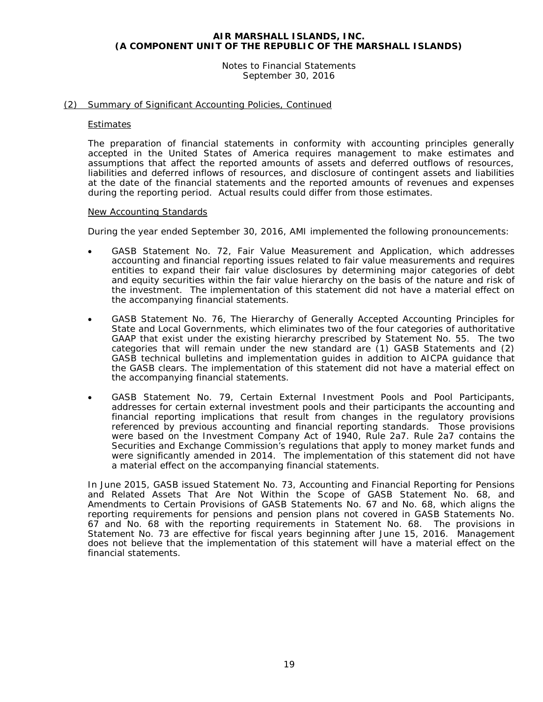Notes to Financial Statements September 30, 2016

#### (2) Summary of Significant Accounting Policies, Continued

#### Estimates

The preparation of financial statements in conformity with accounting principles generally accepted in the United States of America requires management to make estimates and assumptions that affect the reported amounts of assets and deferred outflows of resources, liabilities and deferred inflows of resources, and disclosure of contingent assets and liabilities at the date of the financial statements and the reported amounts of revenues and expenses during the reporting period. Actual results could differ from those estimates.

#### New Accounting Standards

During the year ended September 30, 2016, AMI implemented the following pronouncements:

- GASB Statement No. 72, *Fair Value Measurement and Application*, which addresses accounting and financial reporting issues related to fair value measurements and requires entities to expand their fair value disclosures by determining major categories of debt and equity securities within the fair value hierarchy on the basis of the nature and risk of the investment. The implementation of this statement did not have a material effect on the accompanying financial statements.
- GASB Statement No. 76, *The Hierarchy of Generally Accepted Accounting Principles for State and Local Governments*, which eliminates two of the four categories of authoritative GAAP that exist under the existing hierarchy prescribed by Statement No. 55. The two categories that will remain under the new standard are (1) GASB Statements and (2) GASB technical bulletins and implementation guides in addition to AICPA guidance that the GASB clears. The implementation of this statement did not have a material effect on the accompanying financial statements.
- GASB Statement No. 79, *Certain External Investment Pools and Pool Participants*, addresses for certain external investment pools and their participants the accounting and financial reporting implications that result from changes in the regulatory provisions referenced by previous accounting and financial reporting standards. Those provisions were based on the Investment Company Act of 1940, Rule 2a7. Rule 2a7 contains the Securities and Exchange Commission's regulations that apply to money market funds and were significantly amended in 2014. The implementation of this statement did not have a material effect on the accompanying financial statements.

In June 2015, GASB issued Statement No. 73, *Accounting and Financial Reporting for Pensions and Related Assets That Are Not Within the Scope of GASB Statement No. 68, and Amendments to Certain Provisions of GASB Statements No. 67 and No. 68*, which aligns the reporting requirements for pensions and pension plans not covered in GASB Statements No. 67 and No. 68 with the reporting requirements in Statement No. 68. The provisions in Statement No. 73 are effective for fiscal years beginning after June 15, 2016. Management does not believe that the implementation of this statement will have a material effect on the financial statements.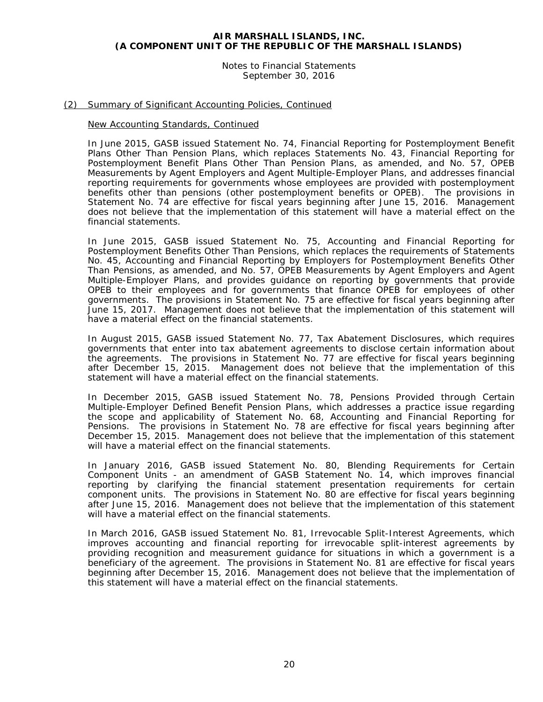Notes to Financial Statements September 30, 2016

### (2) Summary of Significant Accounting Policies, Continued

#### New Accounting Standards, Continued

In June 2015, GASB issued Statement No. 74, *Financial Reporting for Postemployment Benefit Plans Other Than Pension Plans*, which replaces Statements No. 43, *Financial Reporting for Postemployment Benefit Plans Other Than Pension Plans, as amended*, and No. 57, *OPEB Measurements by Agent Employers and Agent Multiple-Employer Plans*, and addresses financial reporting requirements for governments whose employees are provided with postemployment benefits other than pensions (other postemployment benefits or OPEB). The provisions in Statement No. 74 are effective for fiscal years beginning after June 15, 2016. Management does not believe that the implementation of this statement will have a material effect on the financial statements.

In June 2015, GASB issued Statement No. 75, *Accounting and Financial Reporting for Postemployment Benefits Other Than Pensions*, which replaces the requirements of Statements No. 45, *Accounting and Financial Reporting by Employers for Postemployment Benefits Other Than Pensions, as amended*, and No. 57, *OPEB Measurements by Agent Employers and Agent Multiple-Employer Plans*, and provides guidance on reporting by governments that provide OPEB to their employees and for governments that finance OPEB for employees of other governments. The provisions in Statement No. 75 are effective for fiscal years beginning after June 15, 2017. Management does not believe that the implementation of this statement will have a material effect on the financial statements.

In August 2015, GASB issued Statement No. 77, *Tax Abatement Disclosures*, which requires governments that enter into tax abatement agreements to disclose certain information about the agreements. The provisions in Statement No. 77 are effective for fiscal years beginning after December 15, 2015. Management does not believe that the implementation of this statement will have a material effect on the financial statements.

In December 2015, GASB issued Statement No. 78, *Pensions Provided through Certain Multiple-Employer Defined Benefit Pension Plans*, which addresses a practice issue regarding the scope and applicability of Statement No. 68, *Accounting and Financial Reporting for Pensions*. The provisions in Statement No. 78 are effective for fiscal years beginning after December 15, 2015. Management does not believe that the implementation of this statement will have a material effect on the financial statements.

In January 2016, GASB issued Statement No. 80, *Blending Requirements for Certain Component Units - an amendment of GASB Statement No. 14*, which improves financial reporting by clarifying the financial statement presentation requirements for certain component units. The provisions in Statement No. 80 are effective for fiscal years beginning after June 15, 2016. Management does not believe that the implementation of this statement will have a material effect on the financial statements.

In March 2016, GASB issued Statement No. 81, *Irrevocable Split-Interest Agreements*, which improves accounting and financial reporting for irrevocable split-interest agreements by providing recognition and measurement guidance for situations in which a government is a beneficiary of the agreement. The provisions in Statement No. 81 are effective for fiscal years beginning after December 15, 2016. Management does not believe that the implementation of this statement will have a material effect on the financial statements.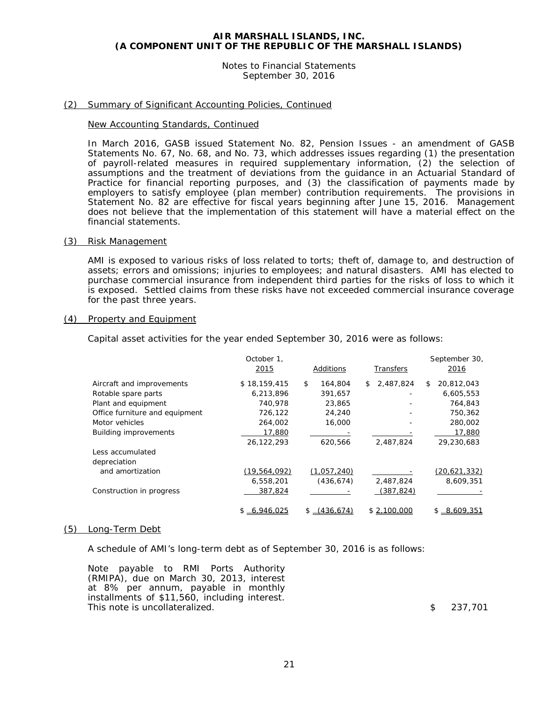#### Notes to Financial Statements September 30, 2016

#### (2) Summary of Significant Accounting Policies, Continued

#### New Accounting Standards, Continued

In March 2016, GASB issued Statement No. 82, *Pension Issues - an amendment of GASB Statements No. 67, No. 68, and No. 73*, which addresses issues regarding (1) the presentation of payroll-related measures in required supplementary information, (2) the selection of assumptions and the treatment of deviations from the guidance in an Actuarial Standard of Practice for financial reporting purposes, and (3) the classification of payments made by employers to satisfy employee (plan member) contribution requirements. The provisions in Statement No. 82 are effective for fiscal years beginning after June 15, 2016. Management does not believe that the implementation of this statement will have a material effect on the financial statements.

#### (3) Risk Management

AMI is exposed to various risks of loss related to torts; theft of, damage to, and destruction of assets; errors and omissions; injuries to employees; and natural disasters. AMI has elected to purchase commercial insurance from independent third parties for the risks of loss to which it is exposed. Settled claims from these risks have not exceeded commercial insurance coverage for the past three years.

#### (4) Property and Equipment

Capital asset activities for the year ended September 30, 2016 were as follows:

|                                | October 1.     |               |                 | September 30,    |
|--------------------------------|----------------|---------------|-----------------|------------------|
|                                | 2015           | Additions     | Transfers       | 2016             |
| Aircraft and improvements      | \$18,159,415   | \$<br>164,804 | 2,487,824<br>\$ | 20,812,043<br>\$ |
| Rotable spare parts            | 6,213,896      | 391,657       |                 | 6,605,553        |
| Plant and equipment            | 740.978        | 23,865        |                 | 764,843          |
| Office furniture and equipment | 726,122        | 24,240        |                 | 750,362          |
| Motor vehicles                 | 264,002        | 16,000        |                 | 280,002          |
| Building improvements          | 17,880         |               |                 | 17,880           |
|                                | 26,122,293     | 620.566       | 2,487,824       | 29,230,683       |
| Less accumulated               |                |               |                 |                  |
| depreciation                   |                |               |                 |                  |
| and amortization               | (19, 564, 092) | (1,057,240)   |                 | (20, 621, 332)   |
|                                | 6,558,201      | (436, 674)    | 2,487,824       | 8,609,351        |
| Construction in progress       | 387.824        |               | (387, 824)      |                  |
|                                | 6.946.025      | (436.674)     | \$2,100,000     | \$8.609.351      |

#### (5) Long-Term Debt

A schedule of AMI's long-term debt as of September 30, 2016 is as follows:

Note payable to RMI Ports Authority (RMIPA), due on March 30, 2013, interest at 8% per annum, payable in monthly installments of \$11,560, including interest. This note is uncollateralized. This is not example to the set of the set of the set of the set of the set of the set of the set of the set of the set of the set of the set of the set of the set of the set of the set of the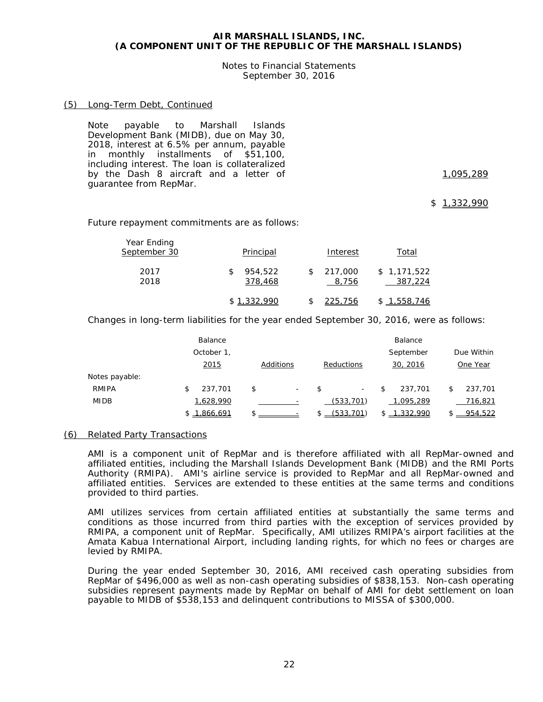#### Notes to Financial Statements September 30, 2016

### (5) Long-Term Debt, Continued

Note payable to Marshall Islands Development Bank (MIDB), due on May 30, 2018, interest at 6.5% per annum, payable in monthly installments of \$51,100, including interest. The loan is collateralized by the Dash 8 aircraft and a letter of guarantee from RepMar.

1,095,289

# \$ 1,332,990

Future repayment commitments are as follows:

| Year Ending<br>September 30 | Principal          | Interest         | Total                  |  |  |
|-----------------------------|--------------------|------------------|------------------------|--|--|
| 2017<br>2018                | 954,522<br>378,468 | 217,000<br>8.756 | \$1,171,522<br>387.224 |  |  |
|                             | \$1,332,990        | 225.756          | \$1,558,746            |  |  |

Changes in long-term liabilities for the year ended September 30, 2016, were as follows:

|                | Balance     |           |                          |                                | Balance       |               |
|----------------|-------------|-----------|--------------------------|--------------------------------|---------------|---------------|
|                | October 1,  |           |                          |                                | September     | Due Within    |
|                | 2015        | Additions |                          | Reductions                     | 30, 2016      | One Year      |
| Notes payable: |             |           |                          |                                |               |               |
| RMIPA          | 237.701     | \$        | $\overline{\phantom{a}}$ | \$<br>$\overline{\phantom{a}}$ | \$<br>237.701 | \$<br>237,701 |
| <b>MIDB</b>    | 1,628,990   |           |                          | (533, 701)                     | 1,095,289     | 716,821       |
|                | \$1.866.691 | \$.       |                          | (533.701)                      | \$1,332,990   | 954,522       |

#### (6) Related Party Transactions

AMI is a component unit of RepMar and is therefore affiliated with all RepMar-owned and affiliated entities, including the Marshall Islands Development Bank (MIDB) and the RMI Ports Authority (RMIPA). AMI's airline service is provided to RepMar and all RepMar-owned and affiliated entities. Services are extended to these entities at the same terms and conditions provided to third parties.

AMI utilizes services from certain affiliated entities at substantially the same terms and conditions as those incurred from third parties with the exception of services provided by RMIPA, a component unit of RepMar. Specifically, AMI utilizes RMIPA's airport facilities at the Amata Kabua International Airport, including landing rights, for which no fees or charges are levied by RMIPA.

During the year ended September 30, 2016, AMI received cash operating subsidies from RepMar of \$496,000 as well as non-cash operating subsidies of \$838,153. Non-cash operating subsidies represent payments made by RepMar on behalf of AMI for debt settlement on loan payable to MIDB of \$538,153 and delinquent contributions to MISSA of \$300,000.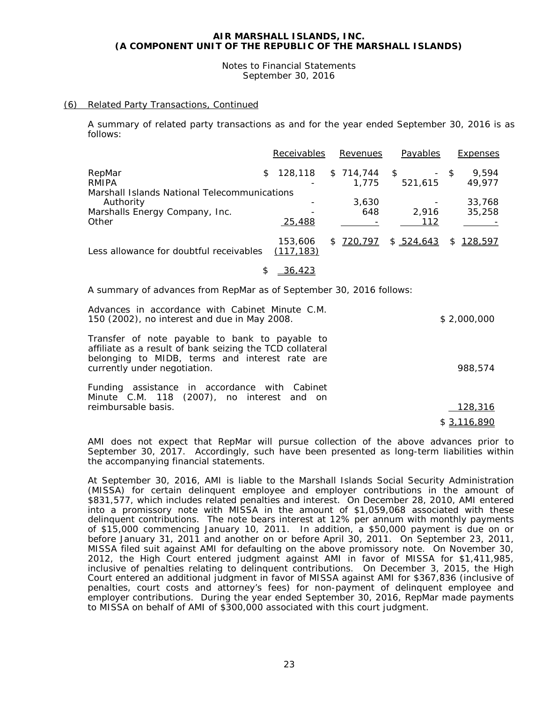#### Notes to Financial Statements September 30, 2016

# (6) Related Party Transactions, Continued

A summary of related party transactions as and for the year ended September 30, 2016 is as follows:

|                                                           | Receivables           | Revenues           | Payables        | Expenses                |
|-----------------------------------------------------------|-----------------------|--------------------|-----------------|-------------------------|
| RepMar<br>RMIPA                                           | 128,118<br>\$.        | \$714.744<br>1.775 | - \$<br>521.615 | 9.594<br>- \$<br>49,977 |
| Marshall Islands National Telecommunications<br>Authority |                       | 3,630              |                 | 33,768                  |
| Marshalls Energy Company, Inc.                            |                       | 648                | 2.916           | 35,258                  |
| Other                                                     | 25,488                |                    | 112             |                         |
| Less allowance for doubtful receivables                   | 153,606<br>(117, 183) | 720.797<br>\$.     | \$ 524,643      | \$128.597               |

 $$36,423$ 

A summary of advances from RepMar as of September 30, 2016 follows:

| Advances in accordance with Cabinet Minute C.M.<br>150 (2002), no interest and due in May 2008.                                                                                              | \$2,000,000 |
|----------------------------------------------------------------------------------------------------------------------------------------------------------------------------------------------|-------------|
| Transfer of note payable to bank to payable to<br>affiliate as a result of bank seizing the TCD collateral<br>belonging to MIDB, terms and interest rate are<br>currently under negotiation. | 988.574     |
| Funding assistance in accordance with Cabinet<br>Minute C.M. 118 (2007), no interest and on<br>reimbursable basis.                                                                           | 128,316     |
|                                                                                                                                                                                              | \$3,116,890 |

AMI does not expect that RepMar will pursue collection of the above advances prior to September 30, 2017. Accordingly, such have been presented as long-term liabilities within the accompanying financial statements.

At September 30, 2016, AMI is liable to the Marshall Islands Social Security Administration (MISSA) for certain delinquent employee and employer contributions in the amount of \$831,577, which includes related penalties and interest. On December 28, 2010, AMI entered into a promissory note with MISSA in the amount of \$1,059,068 associated with these delinquent contributions. The note bears interest at 12% per annum with monthly payments of \$15,000 commencing January 10, 2011. In addition, a \$50,000 payment is due on or before January 31, 2011 and another on or before April 30, 2011. On September 23, 2011, MISSA filed suit against AMI for defaulting on the above promissory note. On November 30, 2012, the High Court entered judgment against AMI in favor of MISSA for \$1,411,985, inclusive of penalties relating to delinquent contributions. On December 3, 2015, the High Court entered an additional judgment in favor of MISSA against AMI for \$367,836 (inclusive of penalties, court costs and attorney's fees) for non-payment of delinquent employee and employer contributions. During the year ended September 30, 2016, RepMar made payments to MISSA on behalf of AMI of \$300,000 associated with this court judgment.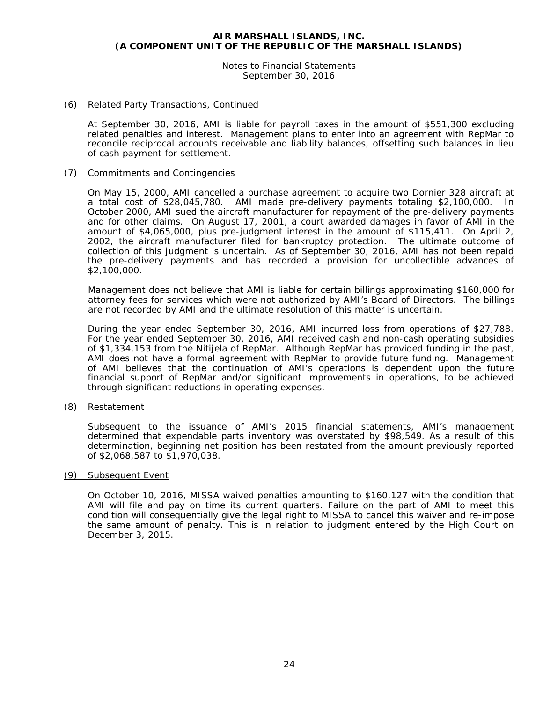Notes to Financial Statements September 30, 2016

#### (6) Related Party Transactions, Continued

At September 30, 2016, AMI is liable for payroll taxes in the amount of \$551,300 excluding related penalties and interest. Management plans to enter into an agreement with RepMar to reconcile reciprocal accounts receivable and liability balances, offsetting such balances in lieu of cash payment for settlement.

#### (7) Commitments and Contingencies

On May 15, 2000, AMI cancelled a purchase agreement to acquire two Dornier 328 aircraft at a total cost of \$28,045,780. AMI made pre-delivery payments totaling \$2.100.000. In a total cost of \$28,045,780. AMI made pre-delivery payments totaling \$2,100,000. October 2000, AMI sued the aircraft manufacturer for repayment of the pre-delivery payments and for other claims. On August 17, 2001, a court awarded damages in favor of AMI in the amount of \$4,065,000, plus pre-judgment interest in the amount of \$115,411. On April 2, 2002, the aircraft manufacturer filed for bankruptcy protection. The ultimate outcome of collection of this judgment is uncertain. As of September 30, 2016, AMI has not been repaid the pre-delivery payments and has recorded a provision for uncollectible advances of \$2,100,000.

Management does not believe that AMI is liable for certain billings approximating \$160,000 for attorney fees for services which were not authorized by AMI's Board of Directors. The billings are not recorded by AMI and the ultimate resolution of this matter is uncertain.

During the year ended September 30, 2016, AMI incurred loss from operations of \$27,788. For the year ended September 30, 2016, AMI received cash and non-cash operating subsidies of \$1,334,153 from the Nitijela of RepMar. Although RepMar has provided funding in the past, AMI does not have a formal agreement with RepMar to provide future funding. Management of AMI believes that the continuation of AMI's operations is dependent upon the future financial support of RepMar and/or significant improvements in operations, to be achieved through significant reductions in operating expenses.

#### (8) Restatement

Subsequent to the issuance of AMI's 2015 financial statements, AMI's management determined that expendable parts inventory was overstated by \$98,549. As a result of this determination, beginning net position has been restated from the amount previously reported of \$2,068,587 to \$1,970,038.

#### (9) Subsequent Event

On October 10, 2016, MISSA waived penalties amounting to \$160,127 with the condition that AMI will file and pay on time its current quarters. Failure on the part of AMI to meet this condition will consequentially give the legal right to MISSA to cancel this waiver and re-impose the same amount of penalty. This is in relation to judgment entered by the High Court on December 3, 2015.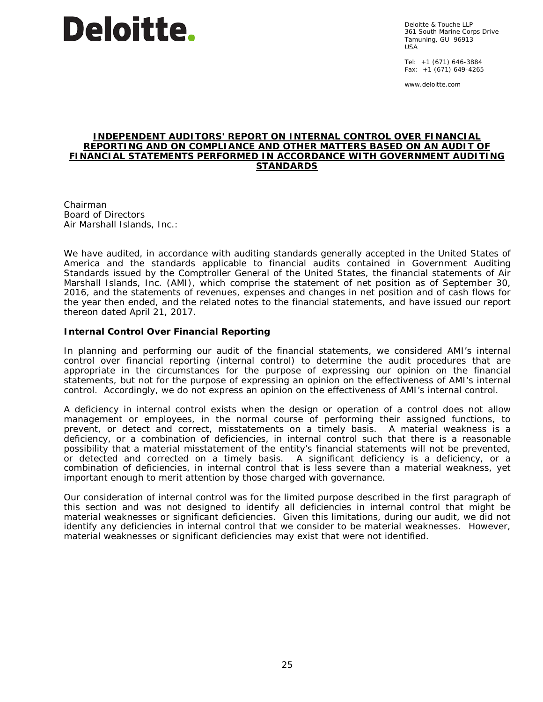

Deloitte & Touche LLP 361 South Marine Corps Drive Tamuning, GU 96913 USA

Tel: +1 (671) 646-3884 Fax: +1 (671) 649-4265

www.deloitte.com

#### **INDEPENDENT AUDITORS' REPORT ON INTERNAL CONTROL OVER FINANCIAL REPORTING AND ON COMPLIANCE AND OTHER MATTERS BASED ON AN AUDIT OF FINANCIAL STATEMENTS PERFORMED IN ACCORDANCE WITH** *GOVERNMENT AUDITING STANDARDS*

Chairman Board of Directors Air Marshall Islands, Inc.:

We have audited, in accordance with auditing standards generally accepted in the United States of America and the standards applicable to financial audits contained in *Government Auditing Standards* issued by the Comptroller General of the United States, the financial statements of Air Marshall Islands, Inc. (AMI), which comprise the statement of net position as of September 30, 2016, and the statements of revenues, expenses and changes in net position and of cash flows for the year then ended, and the related notes to the financial statements, and have issued our report thereon dated April 21, 2017.

# **Internal Control Over Financial Reporting**

In planning and performing our audit of the financial statements, we considered AMI's internal control over financial reporting (internal control) to determine the audit procedures that are appropriate in the circumstances for the purpose of expressing our opinion on the financial statements, but not for the purpose of expressing an opinion on the effectiveness of AMI's internal control. Accordingly, we do not express an opinion on the effectiveness of AMI's internal control.

A *deficiency in internal control* exists when the design or operation of a control does not allow management or employees, in the normal course of performing their assigned functions, to prevent, or detect and correct, misstatements on a timely basis. A *material weakness* is a deficiency, or a combination of deficiencies, in internal control such that there is a reasonable possibility that a material misstatement of the entity's financial statements will not be prevented, or detected and corrected on a timely basis. A *significant deficiency* is a deficiency, or a combination of deficiencies, in internal control that is less severe than a material weakness, yet important enough to merit attention by those charged with governance.

Our consideration of internal control was for the limited purpose described in the first paragraph of this section and was not designed to identify all deficiencies in internal control that might be material weaknesses or significant deficiencies. Given this limitations, during our audit, we did not identify any deficiencies in internal control that we consider to be material weaknesses. However, material weaknesses or significant deficiencies may exist that were not identified.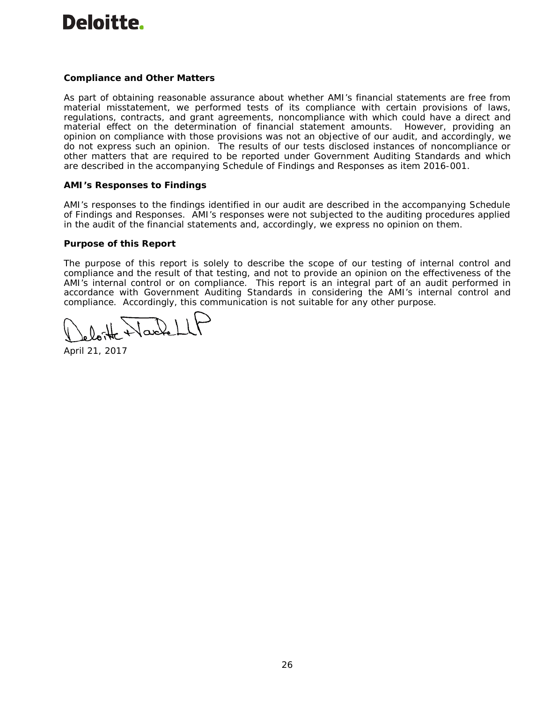# **Deloitte**

# **Compliance and Other Matters**

As part of obtaining reasonable assurance about whether AMI's financial statements are free from material misstatement, we performed tests of its compliance with certain provisions of laws, regulations, contracts, and grant agreements, noncompliance with which could have a direct and material effect on the determination of financial statement amounts. However, providing an opinion on compliance with those provisions was not an objective of our audit, and accordingly, we do not express such an opinion. The results of our tests disclosed instances of noncompliance or other matters that are required to be reported under *Government Auditing Standards* and which are described in the accompanying Schedule of Findings and Responses as item 2016-001.

# **AMI's Responses to Findings**

AMI's responses to the findings identified in our audit are described in the accompanying Schedule of Findings and Responses. AMI's responses were not subjected to the auditing procedures applied in the audit of the financial statements and, accordingly, we express no opinion on them.

#### **Purpose of this Report**

The purpose of this report is solely to describe the scope of our testing of internal control and compliance and the result of that testing, and not to provide an opinion on the effectiveness of the AMI's internal control or on compliance. This report is an integral part of an audit performed in accordance with *Government Auditing Standards* in considering the AMI's internal control and compliance. Accordingly, this communication is not suitable for any other purpose.

April 21, 2017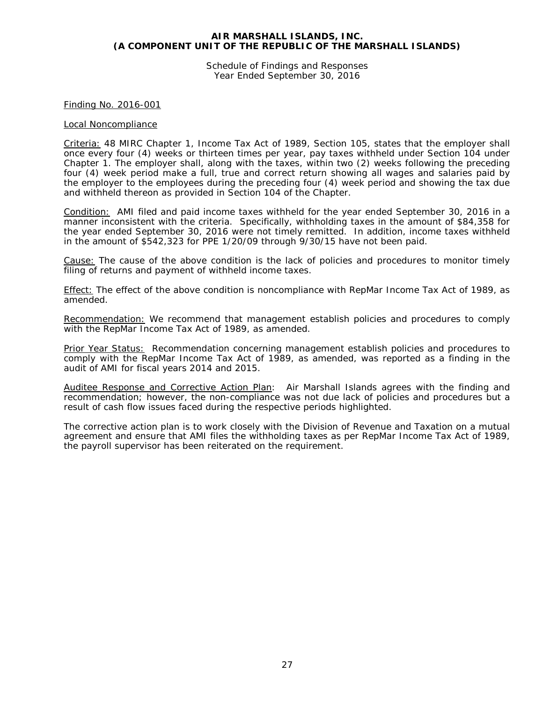Schedule of Findings and Responses Year Ended September 30, 2016

#### Finding No. 2016-001

#### Local Noncompliance

Criteria: 48 MIRC Chapter 1, Income Tax Act of 1989, Section 105, states that the employer shall once every four (4) weeks or thirteen times per year, pay taxes withheld under Section 104 under Chapter 1. The employer shall, along with the taxes, within two (2) weeks following the preceding four (4) week period make a full, true and correct return showing all wages and salaries paid by the employer to the employees during the preceding four (4) week period and showing the tax due and withheld thereon as provided in Section 104 of the Chapter.

Condition: AMI filed and paid income taxes withheld for the year ended September 30, 2016 in a manner inconsistent with the criteria. Specifically, withholding taxes in the amount of \$84,358 for the year ended September 30, 2016 were not timely remitted. In addition, income taxes withheld in the amount of \$542,323 for PPE 1/20/09 through 9/30/15 have not been paid.

Cause: The cause of the above condition is the lack of policies and procedures to monitor timely filing of returns and payment of withheld income taxes.

Effect: The effect of the above condition is noncompliance with RepMar Income Tax Act of 1989, as amended.

Recommendation: We recommend that management establish policies and procedures to comply with the RepMar Income Tax Act of 1989, as amended.

Prior Year Status: Recommendation concerning management establish policies and procedures to comply with the RepMar Income Tax Act of 1989, as amended, was reported as a finding in the audit of AMI for fiscal years 2014 and 2015.

Auditee Response and Corrective Action Plan: Air Marshall Islands agrees with the finding and recommendation; however, the non-compliance was not due lack of policies and procedures but a result of cash flow issues faced during the respective periods highlighted.

The corrective action plan is to work closely with the Division of Revenue and Taxation on a mutual agreement and ensure that AMI files the withholding taxes as per RepMar Income Tax Act of 1989, the payroll supervisor has been reiterated on the requirement.